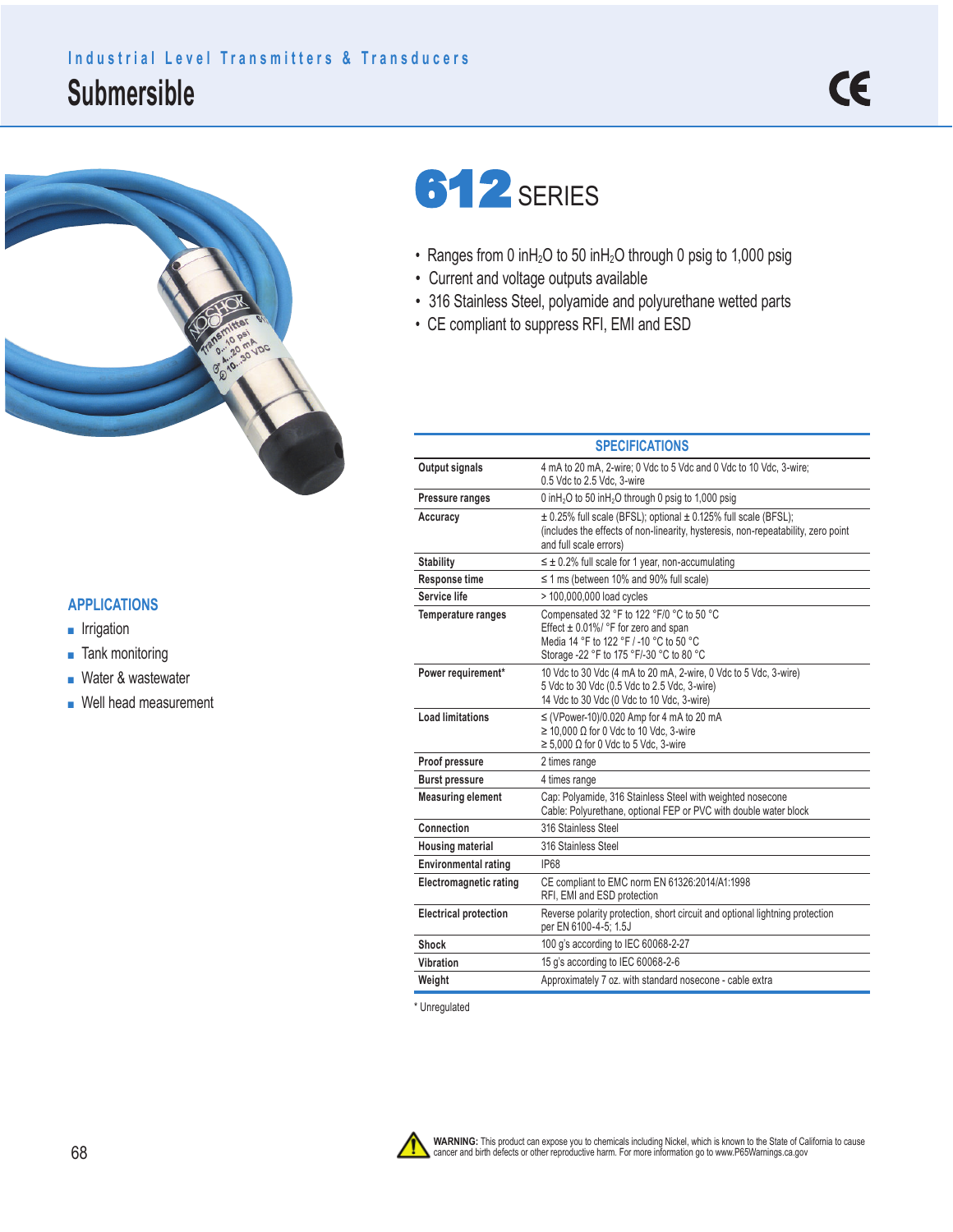## **Submersible Industrial Level Transmitters & Transducers**



## **612** SERIES

- Ranges from 0 inH<sub>2</sub>O to 50 inH<sub>2</sub>O through 0 psig to 1,000 psig
- Current and voltage outputs available
- 316 Stainless Steel, polyamide and polyurethane wetted parts
- CE compliant to suppress RFI, EMI and ESD

|                               | <b>SPECIFICATIONS</b>                                                                                                                                                          |
|-------------------------------|--------------------------------------------------------------------------------------------------------------------------------------------------------------------------------|
| Output signals                | 4 mA to 20 mA, 2-wire; 0 Vdc to 5 Vdc and 0 Vdc to 10 Vdc, 3-wire;<br>0.5 Vdc to 2.5 Vdc. 3-wire                                                                               |
| Pressure ranges               | 0 inH <sub>2</sub> O to 50 inH <sub>2</sub> O through 0 psig to 1,000 psig                                                                                                     |
| Accuracy                      | ± 0.25% full scale (BFSL); optional ± 0.125% full scale (BFSL);<br>(includes the effects of non-linearity, hysteresis, non-repeatability, zero point<br>and full scale errors) |
| <b>Stability</b>              | $\leq \pm 0.2\%$ full scale for 1 year, non-accumulating                                                                                                                       |
| Response time                 | $\leq$ 1 ms (between 10% and 90% full scale)                                                                                                                                   |
| Service life                  | > 100,000,000 load cycles                                                                                                                                                      |
| <b>Temperature ranges</b>     | Compensated 32 °F to 122 °F/0 °C to 50 °C<br>Effect $\pm$ 0.01%/ °F for zero and span<br>Media 14 °F to 122 °F / -10 °C to 50 °C<br>Storage -22 °F to 175 °F/-30 °C to 80 °C   |
| Power requirement*            | 10 Vdc to 30 Vdc (4 mA to 20 mA, 2-wire, 0 Vdc to 5 Vdc, 3-wire)<br>5 Vdc to 30 Vdc (0.5 Vdc to 2.5 Vdc, 3-wire)<br>14 Vdc to 30 Vdc (0 Vdc to 10 Vdc, 3-wire)                 |
| <b>Load limitations</b>       | $\leq$ (VPower-10)/0.020 Amp for 4 mA to 20 mA<br>$\geq$ 10,000 $\Omega$ for 0 Vdc to 10 Vdc, 3-wire<br>$\geq 5,000 \Omega$ for 0 Vdc to 5 Vdc, 3-wire                         |
| Proof pressure                | 2 times range                                                                                                                                                                  |
| <b>Burst pressure</b>         | 4 times range                                                                                                                                                                  |
| <b>Measuring element</b>      | Cap: Polyamide, 316 Stainless Steel with weighted nosecone<br>Cable: Polyurethane, optional FEP or PVC with double water block                                                 |
| Connection                    | 316 Stainless Steel                                                                                                                                                            |
| <b>Housing material</b>       | 316 Stainless Steel                                                                                                                                                            |
| <b>Environmental rating</b>   | <b>IP68</b>                                                                                                                                                                    |
| <b>Electromagnetic rating</b> | CE compliant to EMC norm EN 61326:2014/A1:1998<br>RFI, EMI and ESD protection                                                                                                  |
| <b>Electrical protection</b>  | Reverse polarity protection, short circuit and optional lightning protection<br>per EN 6100-4-5; 1.5J                                                                          |
| Shock                         | 100 g's according to IEC 60068-2-27                                                                                                                                            |
| Vibration                     | 15 g's according to IEC 60068-2-6                                                                                                                                              |
| Weight                        | Approximately 7 oz. with standard nosecone - cable extra                                                                                                                       |

\* Unregulated



## **APPLICATIONS**

- Irrigation
- Tank monitoring
- Water & wastewater
- Well head measurement